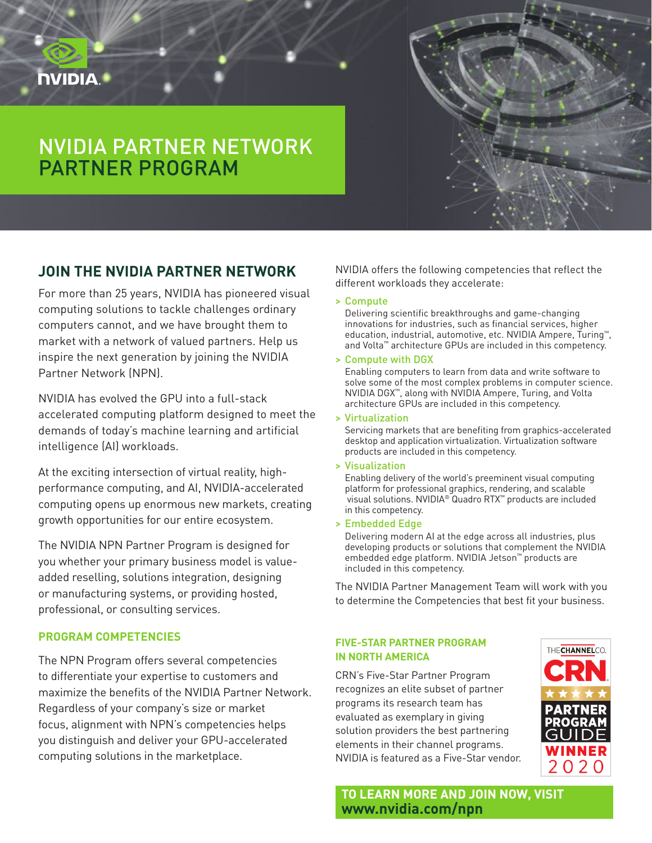# **NIDIA**

# NVIDIA PARTNER NETWORK PARTNER PROGRAM



# **JOIN THE NVIDIA PARTNER NETWORK**

For more than 25 years, NVIDIA has pioneered visual computing solutions to tackle challenges ordinary computers cannot, and we have brought them to market with a network of valued partners. Help us inspire the next generation by joining the NVIDIA Partner Network (NPN).

NVIDIA has evolved the GPU into a full-stack accelerated computing platform designed to meet the demands of today's machine learning and artificial intelligence (AI) workloads.

At the exciting intersection of virtual reality, highperformance computing, and AI, NVIDIA-accelerated computing opens up enormous new markets, creating growth opportunities for our entire ecosystem.

The NVIDIA NPN Partner Program is designed for you whether your primary business model is valueadded reselling, solutions integration, designing or manufacturing systems, or providing hosted, professional, or consulting services.

### **PROGRAM COMPETENCIES**

The NPN Program offers several competencies to differentiate your expertise to customers and maximize the benefits of the NVIDIA Partner Network. Regardless of your company's size or market focus, alignment with NPN's competencies helps you distinguish and deliver your GPU-accelerated computing solutions in the marketplace.

NVIDIA offers the following competencies that reflect the different workloads they accelerate:

#### > Compute

Delivering scientific breakthroughs and game-changing innovations for industries, such as financial services, higher education, industrial, automotive, etc. NVIDIA Ampere, Turing™, and Volta™ architecture GPUs are included in this competency.

#### > Compute with DGX

Enabling computers to learn from data and write software to solve some of the most complex problems in computer science. NVIDIA DGX™, along with NVIDIA Ampere, Turing, and Volta architecture GPUs are included in this competency.

> Virtualization

Servicing markets that are benefiting from graphics-accelerated desktop and application virtualization. Virtualization software products are included in this competency.

#### > Visualization

Enabling delivery of the world's preeminent visual computing platform for professional graphics, rendering, and scalable visual solutions. NVIDIA® Quadro RTX™ products are included in this competency.

#### > Embedded Edge

Delivering modern AI at the edge across all industries, plus developing products or solutions that complement the NVIDIA embedded edge platform. NVIDIA Jetson™ products are included in this competency.

The NVIDIA Partner Management Team will work with you to determine the Competencies that best fit your business.

#### **FIVE-STAR PARTNER PROGRAM IN NORTH AMERICA**

CRN's Five-Star Partner Program recognizes an elite subset of partner programs its research team has evaluated as exemplary in giving solution providers the best partnering elements in their channel programs. NVIDIA is featured as a Five-Star vendor.



**TO LEARN MORE AND JOIN NOW, VISIT [www.nvidia.com/npn](https://www.nvidia.com/npn)**